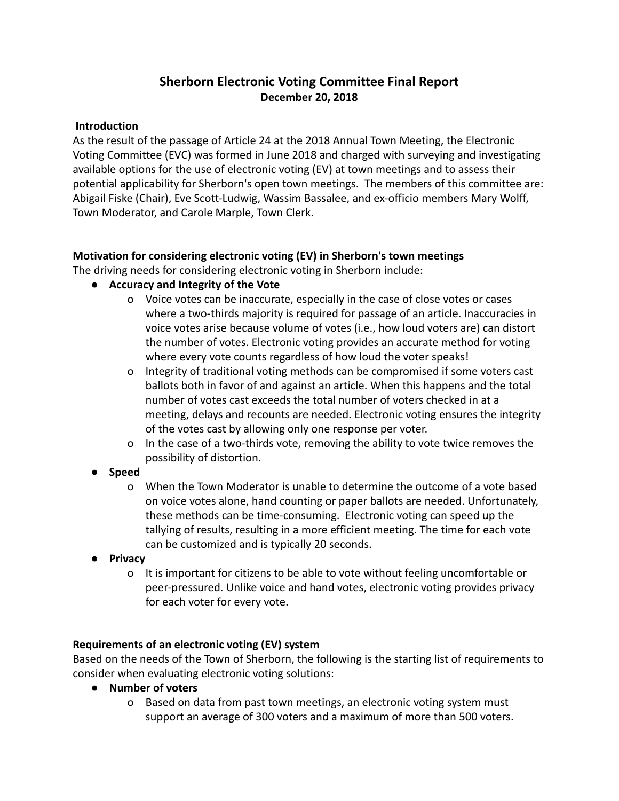# **Sherborn Electronic Voting Committee Final Report December 20, 2018**

#### **Introduction**

As the result of the passage of Article 24 at the 2018 Annual Town Meeting, the Electronic Voting Committee (EVC) was formed in June 2018 and charged with surveying and investigating available options for the use of electronic voting (EV) at town meetings and to assess their potential applicability for Sherborn's open town meetings. The members of this committee are: Abigail Fiske (Chair), Eve Scott-Ludwig, Wassim Bassalee, and ex-officio members Mary Wolff, Town Moderator, and Carole Marple, Town Clerk.

#### **Motivation for considering electronic voting (EV) in Sherborn's town meetings**

The driving needs for considering electronic voting in Sherborn include:

- **● Accuracy and Integrity of the Vote**
	- o Voice votes can be inaccurate, especially in the case of close votes or cases where a two-thirds majority is required for passage of an article. Inaccuracies in voice votes arise because volume of votes (i.e., how loud voters are) can distort the number of votes. Electronic voting provides an accurate method for voting where every vote counts regardless of how loud the voter speaks!
	- o Integrity of traditional voting methods can be compromised if some voters cast ballots both in favor of and against an article. When this happens and the total number of votes cast exceeds the total number of voters checked in at a meeting, delays and recounts are needed. Electronic voting ensures the integrity of the votes cast by allowing only one response per voter.
	- o In the case of a two-thirds vote, removing the ability to vote twice removes the possibility of distortion.
- **● Speed**
	- o When the Town Moderator is unable to determine the outcome of a vote based on voice votes alone, hand counting or paper ballots are needed. Unfortunately, these methods can be time-consuming. Electronic voting can speed up the tallying of results, resulting in a more efficient meeting. The time for each vote can be customized and is typically 20 seconds.
- **● Privacy**
	- o It is important for citizens to be able to vote without feeling uncomfortable or peer-pressured. Unlike voice and hand votes, electronic voting provides privacy for each voter for every vote.

# **Requirements of an electronic voting (EV) system**

Based on the needs of the Town of Sherborn, the following is the starting list of requirements to consider when evaluating electronic voting solutions:

- **● Number of voters**
	- o Based on data from past town meetings, an electronic voting system must support an average of 300 voters and a maximum of more than 500 voters.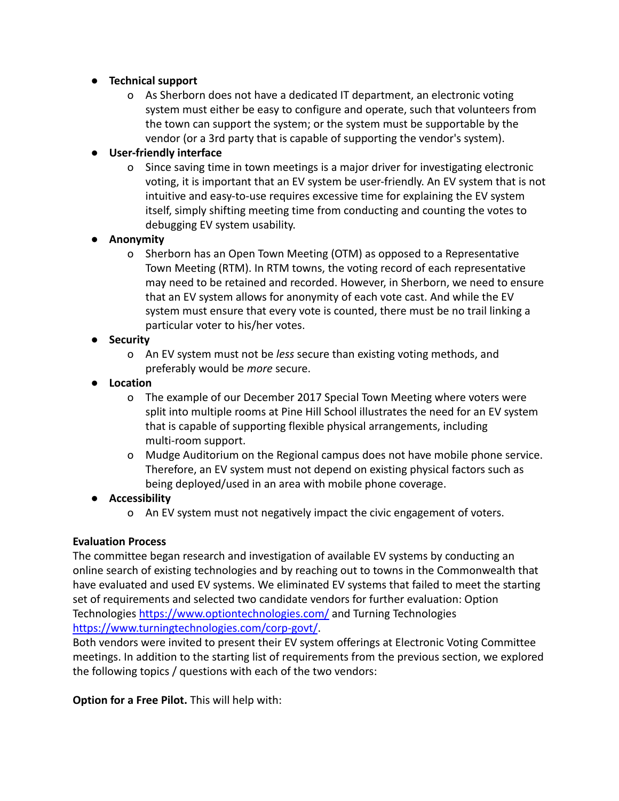#### **● Technical support**

o As Sherborn does not have a dedicated IT department, an electronic voting system must either be easy to configure and operate, such that volunteers from the town can support the system; or the system must be supportable by the vendor (or a 3rd party that is capable of supporting the vendor's system).

# **● User-friendly interface**

o Since saving time in town meetings is a major driver for investigating electronic voting, it is important that an EV system be user-friendly. An EV system that is not intuitive and easy-to-use requires excessive time for explaining the EV system itself, simply shifting meeting time from conducting and counting the votes to debugging EV system usability.

# **● Anonymity**

o Sherborn has an Open Town Meeting (OTM) as opposed to a Representative Town Meeting (RTM). In RTM towns, the voting record of each representative may need to be retained and recorded. However, in Sherborn, we need to ensure that an EV system allows for anonymity of each vote cast. And while the EV system must ensure that every vote is counted, there must be no trail linking a particular voter to his/her votes.

# **● Security**

o An EV system must not be *less* secure than existing voting methods, and preferably would be *more* secure.

# **● Location**

- o The example of our December 2017 Special Town Meeting where voters were split into multiple rooms at Pine Hill School illustrates the need for an EV system that is capable of supporting flexible physical arrangements, including multi-room support.
- o Mudge Auditorium on the Regional campus does not have mobile phone service. Therefore, an EV system must not depend on existing physical factors such as being deployed/used in an area with mobile phone coverage.

# **● Accessibility**

o An EV system must not negatively impact the civic engagement of voters.

# **Evaluation Process**

The committee began research and investigation of available EV systems by conducting an online search of existing technologies and by reaching out to towns in the Commonwealth that have evaluated and used EV systems. We eliminated EV systems that failed to meet the starting set of requirements and selected two candidate vendors for further evaluation: Option Technologies <https://www.optiontechnologies.com/> and Turning Technologies <https://www.turningtechnologies.com/corp-govt/>.

Both vendors were invited to present their EV system offerings at Electronic Voting Committee meetings. In addition to the starting list of requirements from the previous section, we explored the following topics / questions with each of the two vendors:

**Option for a Free Pilot.** This will help with: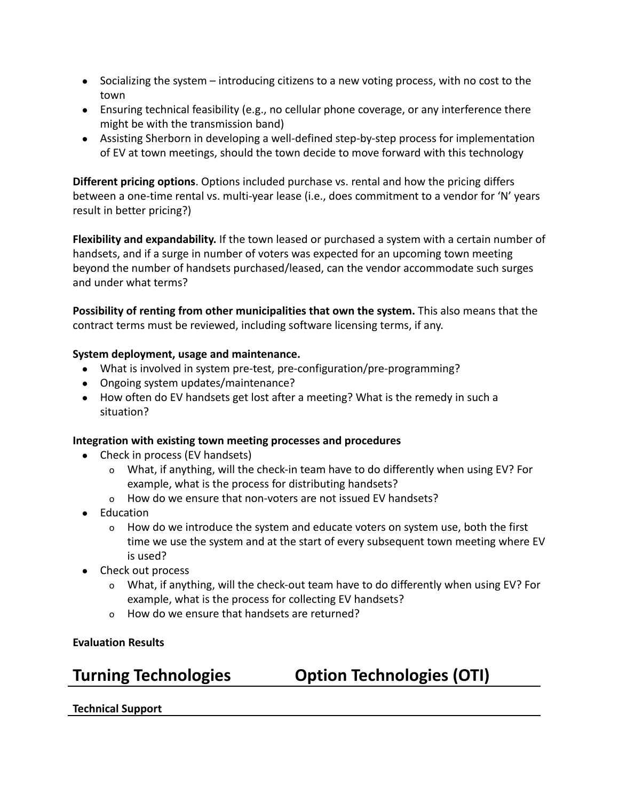- Socializing the system introducing citizens to a new voting process, with no cost to the town
- Ensuring technical feasibility (e.g., no cellular phone coverage, or any interference there might be with the transmission band)
- Assisting Sherborn in developing a well-defined step-by-step process for implementation of EV at town meetings, should the town decide to move forward with this technology

**Different pricing options**. Options included purchase vs. rental and how the pricing differs between a one-time rental vs. multi-year lease (i.e., does commitment to a vendor for 'N' years result in better pricing?)

**Flexibility and expandability.** If the town leased or purchased a system with a certain number of handsets, and if a surge in number of voters was expected for an upcoming town meeting beyond the number of handsets purchased/leased, can the vendor accommodate such surges and under what terms?

**Possibility of renting from other municipalities that own the system.** This also means that the contract terms must be reviewed, including software licensing terms, if any.

# **System deployment, usage and maintenance.**

- What is involved in system pre-test, pre-configuration/pre-programming?
- Ongoing system updates/maintenance?
- How often do EV handsets get lost after a meeting? What is the remedy in such a situation?

# **Integration with existing town meeting processes and procedures**

- Check in process (EV handsets)
	- o What, if anything, will the check-in team have to do differently when using EV? For example, what is the process for distributing handsets?
	- o How do we ensure that non-voters are not issued EV handsets?
- Education
	- o How do we introduce the system and educate voters on system use, both the first time we use the system and at the start of every subsequent town meeting where EV is used?
- Check out process
	- o What, if anything, will the check-out team have to do differently when using EV? For example, what is the process for collecting EV handsets?
	- o How do we ensure that handsets are returned?

**Evaluation Results**

**Turning Technologies Option Technologies (OTI)**

# **Technical Support**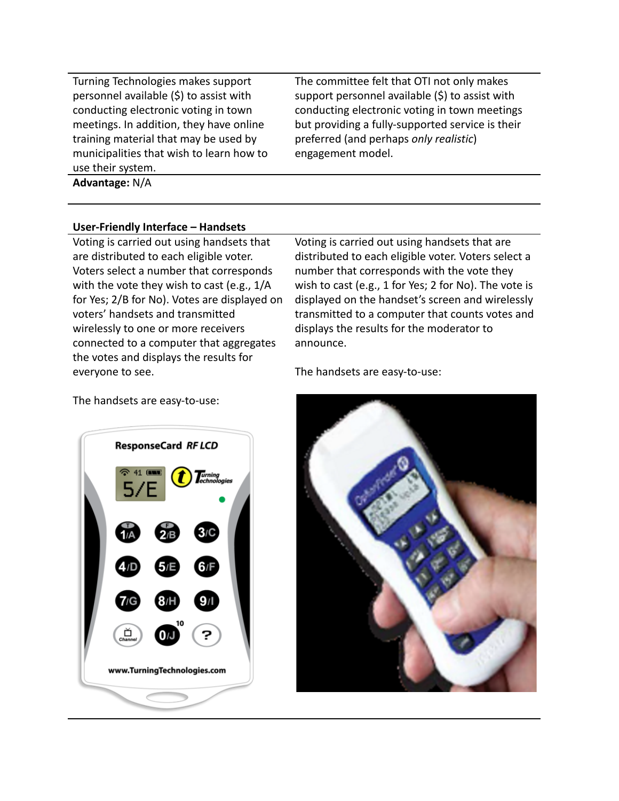Turning Technologies makes support personnel available (\$) to assist with conducting electronic voting in town meetings. In addition, they have online training material that may be used by municipalities that wish to learn how to use their system.

**Advantage:** N/A

The committee felt that OTI not only makes support personnel available (\$) to assist with conducting electronic voting in town meetings but providing a fully-supported service is their preferred (and perhaps *only realistic*) engagement model.

#### **User-Friendly Interface – Handsets**

Voting is carried out using handsets that are distributed to each eligible voter. Voters select a number that corresponds with the vote they wish to cast (e.g., 1/A for Yes; 2/B for No). Votes are displayed on voters' handsets and transmitted wirelessly to one or more receivers connected to a computer that aggregates the votes and displays the results for everyone to see.

Voting is carried out using handsets that are distributed to each eligible voter. Voters select a number that corresponds with the vote they wish to cast (e.g., 1 for Yes; 2 for No). The vote is displayed on the handset's screen and wirelessly transmitted to a computer that counts votes and displays the results for the moderator to announce.

The handsets are easy-to-use:

The handsets are easy-to-use:



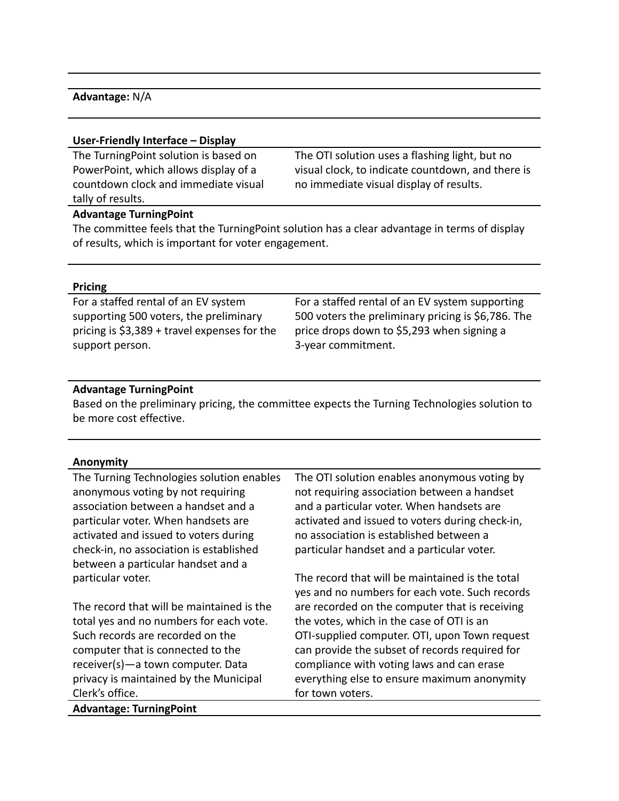#### **Advantage:** N/A

#### **User-Friendly Interface – Display**

The TurningPoint solution is based on PowerPoint, which allows display of a countdown clock and immediate visual tally of results.

The OTI solution uses a flashing light, but no visual clock, to indicate countdown, and there is no immediate visual display of results.

#### **Advantage TurningPoint**

The committee feels that the TurningPoint solution has a clear advantage in terms of display of results, which is important for voter engagement.

#### **Pricing**

For a staffed rental of an EV system supporting 500 voters, the preliminary pricing is \$3,389 + travel expenses for the support person.

For a staffed rental of an EV system supporting 500 voters the preliminary pricing is \$6,786. The price drops down to \$5,293 when signing a 3-year commitment.

#### **Advantage TurningPoint**

Based on the preliminary pricing, the committee expects the Turning Technologies solution to be more cost effective.

#### **Anonymity**

| The Turning Technologies solution enables | The OTI solution enables anonymous voting by    |
|-------------------------------------------|-------------------------------------------------|
| anonymous voting by not requiring         | not requiring association between a handset     |
| association between a handset and a       | and a particular voter. When handsets are       |
| particular voter. When handsets are       | activated and issued to voters during check-in, |
| activated and issued to voters during     | no association is established between a         |
| check-in, no association is established   | particular handset and a particular voter.      |
| between a particular handset and a        |                                                 |
| particular voter.                         | The record that will be maintained is the total |
|                                           | yes and no numbers for each vote. Such records  |
| The record that will be maintained is the | are recorded on the computer that is receiving  |
| total yes and no numbers for each vote.   | the votes, which in the case of OTI is an       |
| Such records are recorded on the          | OTI-supplied computer. OTI, upon Town request   |
| computer that is connected to the         | can provide the subset of records required for  |
| receiver(s)-a town computer. Data         | compliance with voting laws and can erase       |
| privacy is maintained by the Municipal    | everything else to ensure maximum anonymity     |
| Clerk's office.                           | for town voters.                                |
| <b>Advantage: TurningPoint</b>            |                                                 |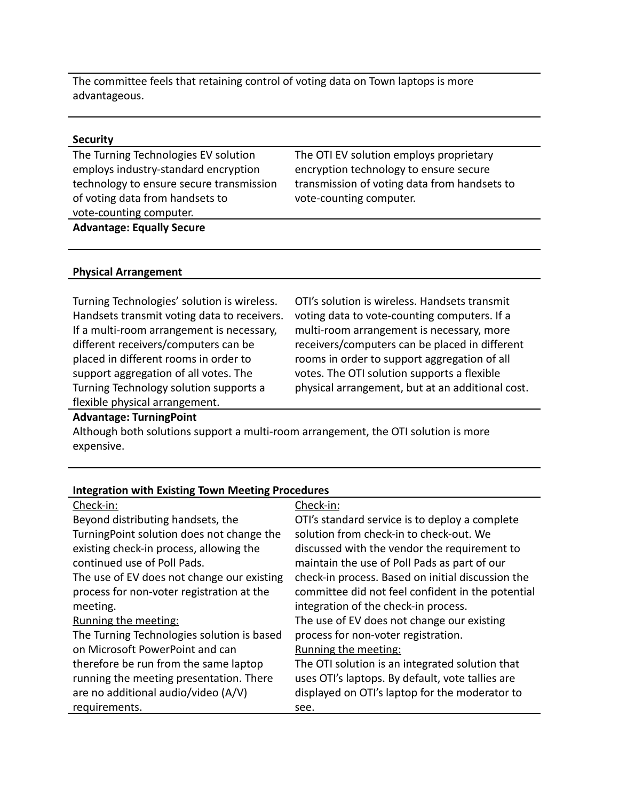The committee feels that retaining control of voting data on Town laptops is more advantageous.

#### **Security**

The Turning Technologies EV solution employs industry-standard encryption technology to ensure secure transmission of voting data from handsets to vote-counting computer.

The OTI EV solution employs proprietary encryption technology to ensure secure transmission of voting data from handsets to vote-counting computer.

#### **Advantage: Equally Secure**

#### **Physical Arrangement**

Turning Technologies' solution is wireless. Handsets transmit voting data to receivers. If a multi-room arrangement is necessary, different receivers/computers can be placed in different rooms in order to support aggregation of all votes. The Turning Technology solution supports a flexible physical arrangement.

OTI's solution is wireless. Handsets transmit voting data to vote-counting computers. If a multi-room arrangement is necessary, more receivers/computers can be placed in different rooms in order to support aggregation of all votes. The OTI solution supports a flexible physical arrangement, but at an additional cost.

#### **Advantage: TurningPoint**

Although both solutions support a multi-room arrangement, the OTI solution is more expensive.

#### **Integration with Existing Town Meeting Procedures**

| Check-in:                                  | Check-in:                                         |
|--------------------------------------------|---------------------------------------------------|
| Beyond distributing handsets, the          | OTI's standard service is to deploy a complete    |
| TurningPoint solution does not change the  | solution from check-in to check-out. We           |
| existing check-in process, allowing the    | discussed with the vendor the requirement to      |
| continued use of Poll Pads.                | maintain the use of Poll Pads as part of our      |
| The use of EV does not change our existing | check-in process. Based on initial discussion the |
| process for non-voter registration at the  | committee did not feel confident in the potential |
| meeting.                                   | integration of the check-in process.              |
| Running the meeting:                       | The use of EV does not change our existing        |
| The Turning Technologies solution is based | process for non-voter registration.               |
| on Microsoft PowerPoint and can            | Running the meeting:                              |
| therefore be run from the same laptop      | The OTI solution is an integrated solution that   |
| running the meeting presentation. There    | uses OTI's laptops. By default, vote tallies are  |
| are no additional audio/video (A/V)        | displayed on OTI's laptop for the moderator to    |
| requirements.                              | see.                                              |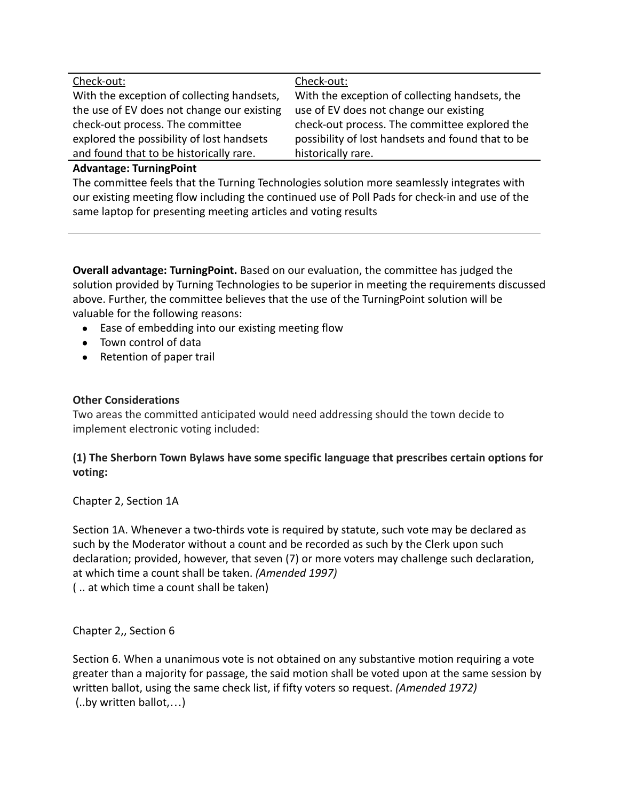| Check-out:                                 | Check-out:                                        |
|--------------------------------------------|---------------------------------------------------|
| With the exception of collecting handsets, | With the exception of collecting handsets, the    |
| the use of EV does not change our existing | use of EV does not change our existing            |
| check-out process. The committee           | check-out process. The committee explored the     |
| explored the possibility of lost handsets  | possibility of lost handsets and found that to be |
| and found that to be historically rare.    | historically rare.                                |

#### **Advantage: TurningPoint**

The committee feels that the Turning Technologies solution more seamlessly integrates with our existing meeting flow including the continued use of Poll Pads for check-in and use of the same laptop for presenting meeting articles and voting results

**Overall advantage: TurningPoint.** Based on our evaluation, the committee has judged the solution provided by Turning Technologies to be superior in meeting the requirements discussed above. Further, the committee believes that the use of the TurningPoint solution will be valuable for the following reasons:

- Ease of embedding into our existing meeting flow
- Town control of data
- Retention of paper trail

# **Other Considerations**

Two areas the committed anticipated would need addressing should the town decide to implement electronic voting included:

# **(1) The Sherborn Town Bylaws have some specific language that prescribes certain options for voting:**

Chapter 2, Section 1A

Section 1A. Whenever a two-thirds vote is required by statute, such vote may be declared as such by the Moderator without a count and be recorded as such by the Clerk upon such declaration; provided, however, that seven (7) or more voters may challenge such declaration, at which time a count shall be taken. *(Amended 1997)* ( .. at which time a count shall be taken)

Chapter 2,, Section 6

Section 6. When a unanimous vote is not obtained on any substantive motion requiring a vote greater than a majority for passage, the said motion shall be voted upon at the same session by written ballot, using the same check list, if fifty voters so request. *(Amended 1972)* (..by written ballot,…)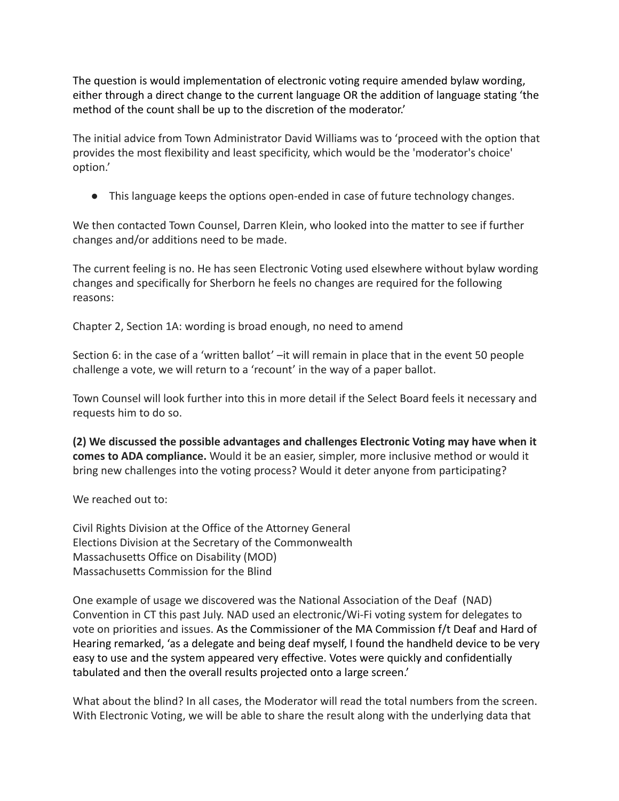The question is would implementation of electronic voting require amended bylaw wording, either through a direct change to the current language OR the addition of language stating 'the method of the count shall be up to the discretion of the moderator.'

The initial advice from Town Administrator David Williams was to 'proceed with the option that provides the most flexibility and least specificity, which would be the 'moderator's choice' option.'

● This language keeps the options open-ended in case of future technology changes.

We then contacted Town Counsel, Darren Klein, who looked into the matter to see if further changes and/or additions need to be made.

The current feeling is no. He has seen Electronic Voting used elsewhere without bylaw wording changes and specifically for Sherborn he feels no changes are required for the following reasons:

Chapter 2, Section 1A: wording is broad enough, no need to amend

Section 6: in the case of a 'written ballot' –it will remain in place that in the event 50 people challenge a vote, we will return to a 'recount' in the way of a paper ballot.

Town Counsel will look further into this in more detail if the Select Board feels it necessary and requests him to do so.

**(2) We discussed the possible advantages and challenges Electronic Voting may have when it comes to ADA compliance.** Would it be an easier, simpler, more inclusive method or would it bring new challenges into the voting process? Would it deter anyone from participating?

We reached out to:

Civil Rights Division at the Office of the Attorney General Elections Division at the Secretary of the Commonwealth Massachusetts Office on Disability (MOD) Massachusetts Commission for the Blind

One example of usage we discovered was the National Association of the Deaf (NAD) Convention in CT this past July. NAD used an electronic/Wi-Fi voting system for delegates to vote on priorities and issues. As the Commissioner of the MA Commission f/t Deaf and Hard of Hearing remarked, 'as a delegate and being deaf myself, I found the handheld device to be very easy to use and the system appeared very effective. Votes were quickly and confidentially tabulated and then the overall results projected onto a large screen.'

What about the blind? In all cases, the Moderator will read the total numbers from the screen. With Electronic Voting, we will be able to share the result along with the underlying data that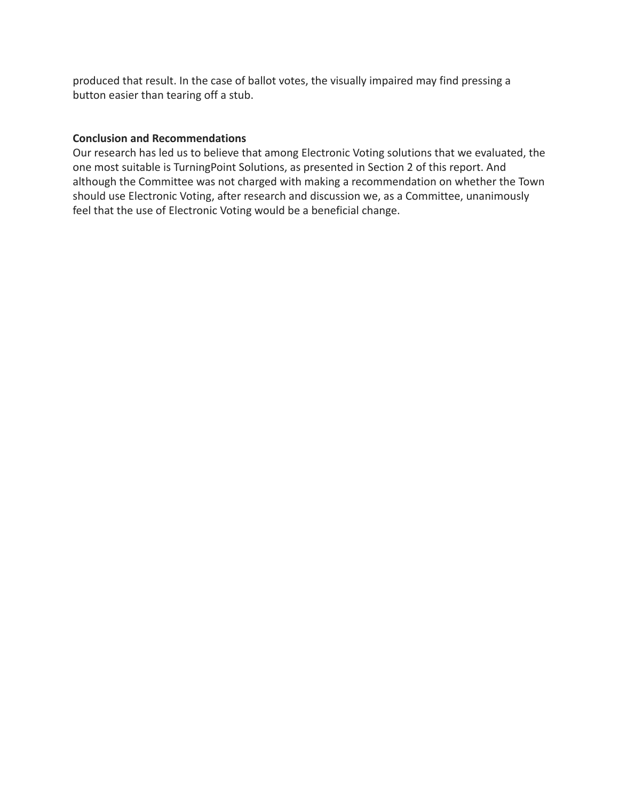produced that result. In the case of ballot votes, the visually impaired may find pressing a button easier than tearing off a stub.

#### **Conclusion and Recommendations**

Our research has led us to believe that among Electronic Voting solutions that we evaluated, the one most suitable is TurningPoint Solutions, as presented in Section 2 of this report. And although the Committee was not charged with making a recommendation on whether the Town should use Electronic Voting, after research and discussion we, as a Committee, unanimously feel that the use of Electronic Voting would be a beneficial change.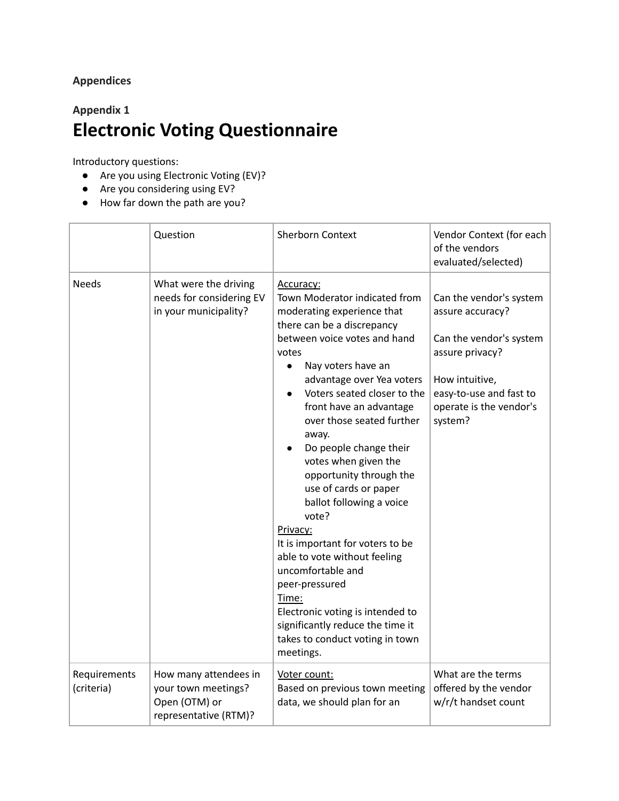# **Appendices**

# **Appendix 1 Electronic Voting Questionnaire**

Introductory questions:

- Are you using Electronic Voting (EV)?
- Are you considering using EV?
- How far down the path are you?

|                            | Question                                                                               | <b>Sherborn Context</b>                                                                                                                                                                                                                                                                                                                                                                                                                                                                                                                                                                                                                                                                                            | Vendor Context (for each<br>of the vendors<br>evaluated/selected)                                                                                                            |
|----------------------------|----------------------------------------------------------------------------------------|--------------------------------------------------------------------------------------------------------------------------------------------------------------------------------------------------------------------------------------------------------------------------------------------------------------------------------------------------------------------------------------------------------------------------------------------------------------------------------------------------------------------------------------------------------------------------------------------------------------------------------------------------------------------------------------------------------------------|------------------------------------------------------------------------------------------------------------------------------------------------------------------------------|
| <b>Needs</b>               | What were the driving<br>needs for considering EV<br>in your municipality?             | Accuracy:<br>Town Moderator indicated from<br>moderating experience that<br>there can be a discrepancy<br>between voice votes and hand<br>votes<br>Nay voters have an<br>$\bullet$<br>advantage over Yea voters<br>Voters seated closer to the<br>front have an advantage<br>over those seated further<br>away.<br>Do people change their<br>votes when given the<br>opportunity through the<br>use of cards or paper<br>ballot following a voice<br>vote?<br>Privacy:<br>It is important for voters to be<br>able to vote without feeling<br>uncomfortable and<br>peer-pressured<br>Time:<br>Electronic voting is intended to<br>significantly reduce the time it<br>takes to conduct voting in town<br>meetings. | Can the vendor's system<br>assure accuracy?<br>Can the vendor's system<br>assure privacy?<br>How intuitive,<br>easy-to-use and fast to<br>operate is the vendor's<br>system? |
| Requirements<br>(criteria) | How many attendees in<br>your town meetings?<br>Open (OTM) or<br>representative (RTM)? | Voter count:<br>Based on previous town meeting<br>data, we should plan for an                                                                                                                                                                                                                                                                                                                                                                                                                                                                                                                                                                                                                                      | What are the terms<br>offered by the vendor<br>w/r/t handset count                                                                                                           |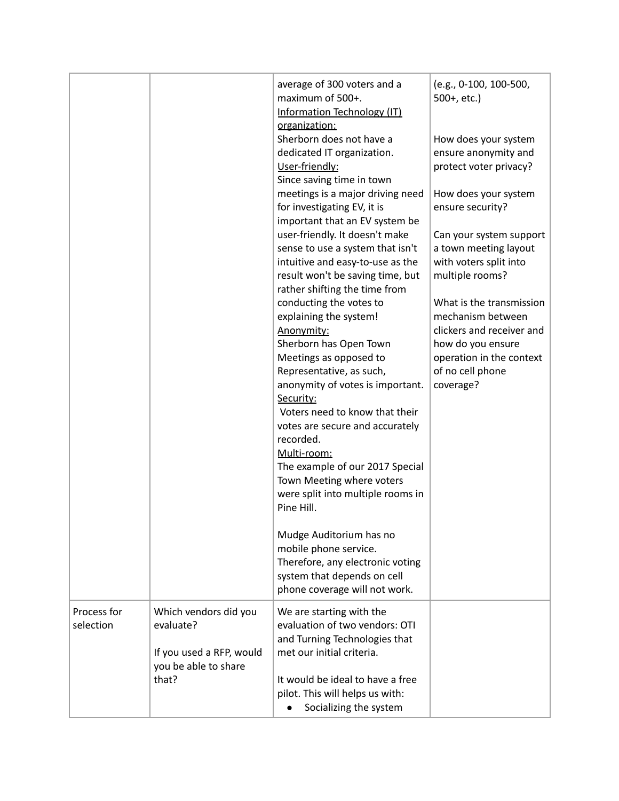|                          |                                                           | average of 300 voters and a<br>maximum of 500+.<br>Information Technology (IT)<br>organization:                                                                             | (e.g., 0-100, 100-500,<br>$500+$ , etc.)                                                        |
|--------------------------|-----------------------------------------------------------|-----------------------------------------------------------------------------------------------------------------------------------------------------------------------------|-------------------------------------------------------------------------------------------------|
|                          |                                                           | Sherborn does not have a<br>dedicated IT organization.<br>User-friendly:<br>Since saving time in town                                                                       | How does your system<br>ensure anonymity and<br>protect voter privacy?                          |
|                          |                                                           | meetings is a major driving need<br>for investigating EV, it is<br>important that an EV system be                                                                           | How does your system<br>ensure security?                                                        |
|                          |                                                           | user-friendly. It doesn't make<br>sense to use a system that isn't<br>intuitive and easy-to-use as the<br>result won't be saving time, but<br>rather shifting the time from | Can your system support<br>a town meeting layout<br>with voters split into<br>multiple rooms?   |
|                          |                                                           | conducting the votes to<br>explaining the system!<br>Anonymity:<br>Sherborn has Open Town                                                                                   | What is the transmission<br>mechanism between<br>clickers and receiver and<br>how do you ensure |
|                          |                                                           | Meetings as opposed to<br>Representative, as such,<br>anonymity of votes is important.<br>Security:                                                                         | operation in the context<br>of no cell phone<br>coverage?                                       |
|                          |                                                           | Voters need to know that their<br>votes are secure and accurately<br>recorded.<br>Multi-room:                                                                               |                                                                                                 |
|                          |                                                           | The example of our 2017 Special<br>Town Meeting where voters<br>were split into multiple rooms in<br>Pine Hill.                                                             |                                                                                                 |
|                          |                                                           | Mudge Auditorium has no<br>mobile phone service.<br>Therefore, any electronic voting<br>system that depends on cell<br>phone coverage will not work.                        |                                                                                                 |
| Process for<br>selection | Which vendors did you<br>evaluate?                        | We are starting with the<br>evaluation of two vendors: OTI<br>and Turning Technologies that                                                                                 |                                                                                                 |
|                          | If you used a RFP, would<br>you be able to share<br>that? | met our initial criteria.<br>It would be ideal to have a free<br>pilot. This will helps us with:<br>Socializing the system                                                  |                                                                                                 |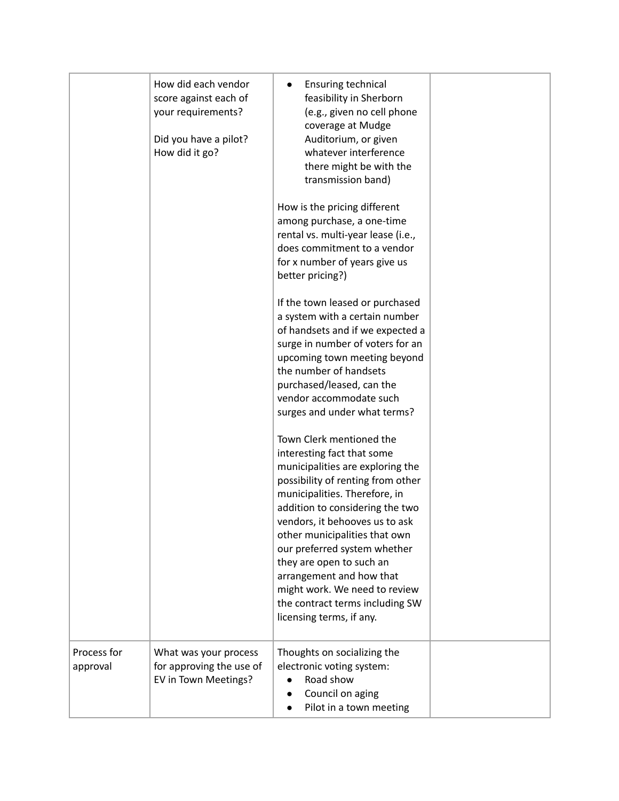|                         | How did each vendor<br>score against each of<br>your requirements?<br>Did you have a pilot?<br>How did it go? | Ensuring technical<br>feasibility in Sherborn<br>(e.g., given no cell phone<br>coverage at Mudge<br>Auditorium, or given<br>whatever interference<br>there might be with the<br>transmission band)<br>How is the pricing different<br>among purchase, a one-time<br>rental vs. multi-year lease (i.e.,<br>does commitment to a vendor<br>for x number of years give us<br>better pricing?)<br>If the town leased or purchased<br>a system with a certain number<br>of handsets and if we expected a<br>surge in number of voters for an<br>upcoming town meeting beyond<br>the number of handsets<br>purchased/leased, can the<br>vendor accommodate such<br>surges and under what terms?<br>Town Clerk mentioned the<br>interesting fact that some<br>municipalities are exploring the<br>possibility of renting from other<br>municipalities. Therefore, in<br>addition to considering the two<br>vendors, it behooves us to ask<br>other municipalities that own<br>our preferred system whether<br>they are open to such an<br>arrangement and how that<br>might work. We need to review<br>the contract terms including SW<br>licensing terms, if any. |  |
|-------------------------|---------------------------------------------------------------------------------------------------------------|-------------------------------------------------------------------------------------------------------------------------------------------------------------------------------------------------------------------------------------------------------------------------------------------------------------------------------------------------------------------------------------------------------------------------------------------------------------------------------------------------------------------------------------------------------------------------------------------------------------------------------------------------------------------------------------------------------------------------------------------------------------------------------------------------------------------------------------------------------------------------------------------------------------------------------------------------------------------------------------------------------------------------------------------------------------------------------------------------------------------------------------------------------------|--|
| Process for<br>approval | What was your process<br>for approving the use of<br>EV in Town Meetings?                                     | Thoughts on socializing the<br>electronic voting system:<br>Road show<br>Council on aging<br>Pilot in a town meeting                                                                                                                                                                                                                                                                                                                                                                                                                                                                                                                                                                                                                                                                                                                                                                                                                                                                                                                                                                                                                                        |  |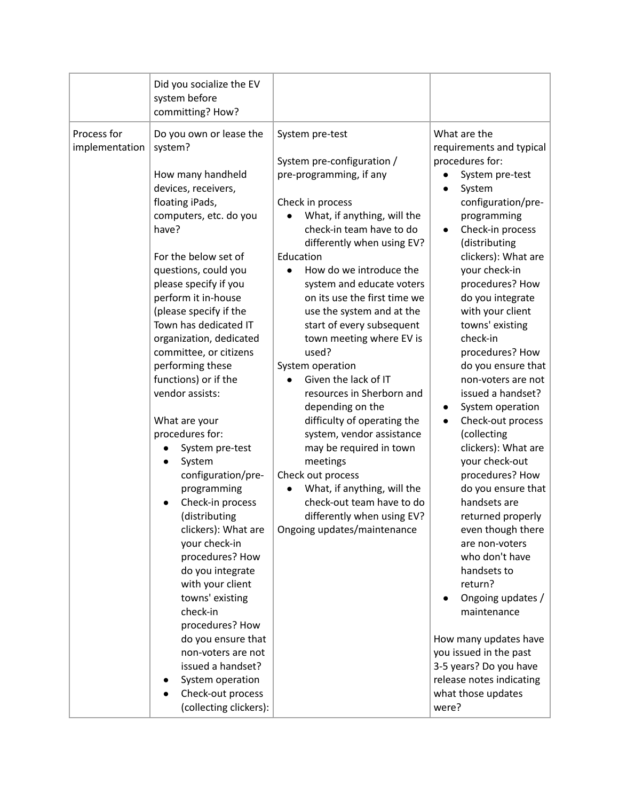|                               | Did you socialize the EV<br>system before<br>committing? How?                                                                                                                                                                                                                                                                                                                                                                                                                                                                                                                                                                                                                                                                                                                                    |                                                                                                                                                                                                                                                                                                                                                                                                                                                                                                                                                                                                                                                                                                                                                      |                                                                                                                                                                                                                                                                                                                                                                                                                                                                                                                                                                                                                                                                                                                                                                                                                      |
|-------------------------------|--------------------------------------------------------------------------------------------------------------------------------------------------------------------------------------------------------------------------------------------------------------------------------------------------------------------------------------------------------------------------------------------------------------------------------------------------------------------------------------------------------------------------------------------------------------------------------------------------------------------------------------------------------------------------------------------------------------------------------------------------------------------------------------------------|------------------------------------------------------------------------------------------------------------------------------------------------------------------------------------------------------------------------------------------------------------------------------------------------------------------------------------------------------------------------------------------------------------------------------------------------------------------------------------------------------------------------------------------------------------------------------------------------------------------------------------------------------------------------------------------------------------------------------------------------------|----------------------------------------------------------------------------------------------------------------------------------------------------------------------------------------------------------------------------------------------------------------------------------------------------------------------------------------------------------------------------------------------------------------------------------------------------------------------------------------------------------------------------------------------------------------------------------------------------------------------------------------------------------------------------------------------------------------------------------------------------------------------------------------------------------------------|
| Process for<br>implementation | Do you own or lease the<br>system?<br>How many handheld<br>devices, receivers,<br>floating iPads,<br>computers, etc. do you<br>have?<br>For the below set of<br>questions, could you<br>please specify if you<br>perform it in-house<br>(please specify if the<br>Town has dedicated IT<br>organization, dedicated<br>committee, or citizens<br>performing these<br>functions) or if the<br>vendor assists:<br>What are your<br>procedures for:<br>System pre-test<br>System<br>configuration/pre-<br>programming<br>Check-in process<br>(distributing<br>clickers): What are<br>your check-in<br>procedures? How<br>do you integrate<br>with your client<br>towns' existing<br>check-in<br>procedures? How<br>do you ensure that<br>non-voters are not<br>issued a handset?<br>System operation | System pre-test<br>System pre-configuration /<br>pre-programming, if any<br>Check in process<br>What, if anything, will the<br>check-in team have to do<br>differently when using EV?<br>Education<br>How do we introduce the<br>$\bullet$<br>system and educate voters<br>on its use the first time we<br>use the system and at the<br>start of every subsequent<br>town meeting where EV is<br>used?<br>System operation<br>Given the lack of IT<br>resources in Sherborn and<br>depending on the<br>difficulty of operating the<br>system, vendor assistance<br>may be required in town<br>meetings<br>Check out process<br>What, if anything, will the<br>check-out team have to do<br>differently when using EV?<br>Ongoing updates/maintenance | What are the<br>requirements and typical<br>procedures for:<br>System pre-test<br>System<br>configuration/pre-<br>programming<br>Check-in process<br>(distributing<br>clickers): What are<br>your check-in<br>procedures? How<br>do you integrate<br>with your client<br>towns' existing<br>check-in<br>procedures? How<br>do you ensure that<br>non-voters are not<br>issued a handset?<br>System operation<br>Check-out process<br>$\bullet$<br>(collecting<br>clickers): What are<br>your check-out<br>procedures? How<br>do you ensure that<br>handsets are<br>returned properly<br>even though there<br>are non-voters<br>who don't have<br>handsets to<br>return?<br>Ongoing updates /<br>maintenance<br>How many updates have<br>you issued in the past<br>3-5 years? Do you have<br>release notes indicating |
|                               | Check-out process<br>(collecting clickers):                                                                                                                                                                                                                                                                                                                                                                                                                                                                                                                                                                                                                                                                                                                                                      |                                                                                                                                                                                                                                                                                                                                                                                                                                                                                                                                                                                                                                                                                                                                                      | what those updates<br>were?                                                                                                                                                                                                                                                                                                                                                                                                                                                                                                                                                                                                                                                                                                                                                                                          |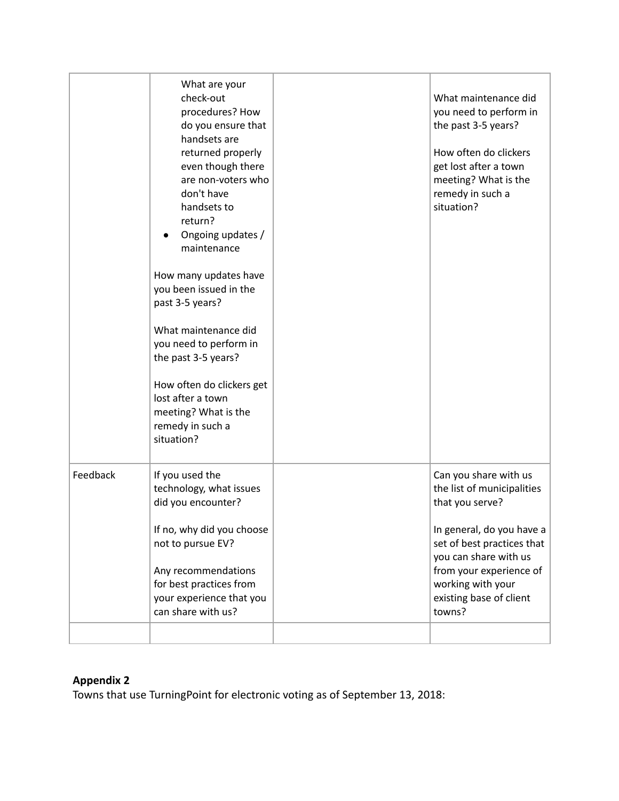|          | What are your<br>check-out<br>procedures? How<br>do you ensure that<br>handsets are<br>returned properly<br>even though there<br>are non-voters who<br>don't have<br>handsets to<br>return?<br>Ongoing updates /                                                       | What maintenance did<br>you need to perform in<br>the past 3-5 years?<br>How often do clickers<br>get lost after a town<br>meeting? What is the<br>remedy in such a<br>situation?                                                               |
|----------|------------------------------------------------------------------------------------------------------------------------------------------------------------------------------------------------------------------------------------------------------------------------|-------------------------------------------------------------------------------------------------------------------------------------------------------------------------------------------------------------------------------------------------|
|          | maintenance<br>How many updates have<br>you been issued in the<br>past 3-5 years?<br>What maintenance did<br>you need to perform in<br>the past 3-5 years?<br>How often do clickers get<br>lost after a town<br>meeting? What is the<br>remedy in such a<br>situation? |                                                                                                                                                                                                                                                 |
| Feedback | If you used the<br>technology, what issues<br>did you encounter?<br>If no, why did you choose<br>not to pursue EV?<br>Any recommendations<br>for best practices from<br>your experience that you<br>can share with us?                                                 | Can you share with us<br>the list of municipalities<br>that you serve?<br>In general, do you have a<br>set of best practices that<br>you can share with us<br>from your experience of<br>working with your<br>existing base of client<br>towns? |
|          |                                                                                                                                                                                                                                                                        |                                                                                                                                                                                                                                                 |

# **Appendix 2**

Towns that use TurningPoint for electronic voting as of September 13, 2018: